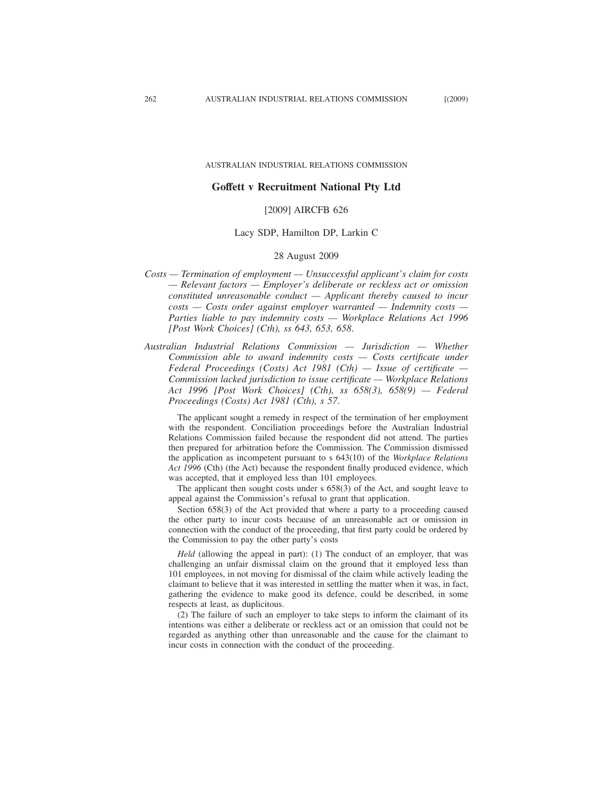#### AUSTRALIAN INDUSTRIAL RELATIONS COMMISSION

### **Goffett v Recruitment National Pty Ltd**

# [2009] AIRCFB 626

### Lacy SDP, Hamilton DP, Larkin C

#### 28 August 2009

- *Costs Termination of employment Unsuccessful applicant's claim for costs — Relevant factors — Employer's deliberate or reckless act or omission constituted unreasonable conduct — Applicant thereby caused to incur costs — Costs order against employer warranted — Indemnity costs — Parties liable to pay indemnity costs — Workplace Relations Act 1996 [Post Work Choices] (Cth), ss 643, 653, 658*.
- *Australian Industrial Relations Commission Jurisdiction Whether Commission able to award indemnity costs — Costs certificate under Federal Proceedings (Costs) Act 1981 (Cth) — Issue of certificate — Commission lacked jurisdiction to issue certificate — Workplace Relations Act 1996 [Post Work Choices] (Cth), ss 658(3), 658(9) — Federal Proceedings (Costs) Act 1981 (Cth), s 57*.

The applicant sought a remedy in respect of the termination of her employment with the respondent. Conciliation proceedings before the Australian Industrial Relations Commission failed because the respondent did not attend. The parties then prepared for arbitration before the Commission. The Commission dismissed the application as incompetent pursuant to s 643(10) of the *Workplace Relations Act 1996* (Cth) (the Act) because the respondent finally produced evidence, which was accepted, that it employed less than 101 employees.

The applicant then sought costs under s 658(3) of the Act, and sought leave to appeal against the Commission's refusal to grant that application.

Section 658(3) of the Act provided that where a party to a proceeding caused the other party to incur costs because of an unreasonable act or omission in connection with the conduct of the proceeding, that first party could be ordered by the Commission to pay the other party's costs

*Held* (allowing the appeal in part): (1) The conduct of an employer, that was challenging an unfair dismissal claim on the ground that it employed less than 101 employees, in not moving for dismissal of the claim while actively leading the claimant to believe that it was interested in settling the matter when it was, in fact, gathering the evidence to make good its defence, could be described, in some respects at least, as duplicitous.

(2) The failure of such an employer to take steps to inform the claimant of its intentions was either a deliberate or reckless act or an omission that could not be regarded as anything other than unreasonable and the cause for the claimant to incur costs in connection with the conduct of the proceeding.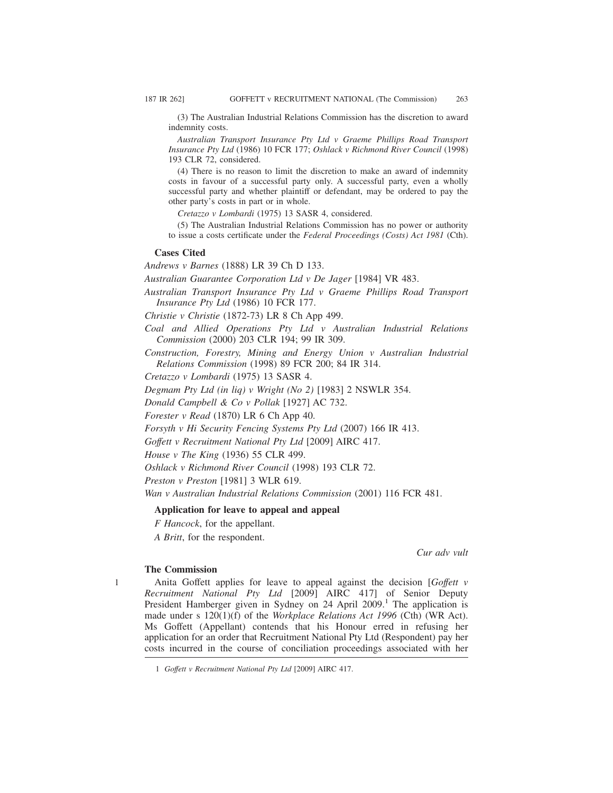(3) The Australian Industrial Relations Commission has the discretion to award indemnity costs.

*Australian Transport Insurance Pty Ltd v Graeme Phillips Road Transport Insurance Pty Ltd* (1986) 10 FCR 177; *Oshlack v Richmond River Council* (1998) 193 CLR 72, considered.

(4) There is no reason to limit the discretion to make an award of indemnity costs in favour of a successful party only. A successful party, even a wholly successful party and whether plaintiff or defendant, may be ordered to pay the other party's costs in part or in whole.

*Cretazzo v Lombardi* (1975) 13 SASR 4, considered.

(5) The Australian Industrial Relations Commission has no power or authority to issue a costs certificate under the *Federal Proceedings (Costs) Act 1981* (Cth).

### **Cases Cited**

*Andrews v Barnes* (1888) LR 39 Ch D 133.

*Australian Guarantee Corporation Ltd v De Jager* [1984] VR 483.

*Australian Transport Insurance Pty Ltd v Graeme Phillips Road Transport Insurance Pty Ltd* (1986) 10 FCR 177.

*Christie v Christie* (1872-73) LR 8 Ch App 499.

- *Coal and Allied Operations Pty Ltd v Australian Industrial Relations Commission* (2000) 203 CLR 194; 99 IR 309.
- *Construction, Forestry, Mining and Energy Union v Australian Industrial Relations Commission* (1998) 89 FCR 200; 84 IR 314.

*Cretazzo v Lombardi* (1975) 13 SASR 4.

*Degmam Pty Ltd (in liq) v Wright (No 2)* [1983] 2 NSWLR 354.

*Donald Campbell & Co v Pollak* [1927] AC 732.

*Forester v Read* (1870) LR 6 Ch App 40.

*Forsyth v Hi Security Fencing Systems Pty Ltd* (2007) 166 IR 413.

*Goffett v Recruitment National Pty Ltd* [2009] AIRC 417.

*House v The King* (1936) 55 CLR 499.

*Oshlack v Richmond River Council* (1998) 193 CLR 72.

*Preston v Preston* [1981] 3 WLR 619.

*Wan v Australian Industrial Relations Commission* (2001) 116 FCR 481.

### **Application for leave to appeal and appeal**

*F Hancock*, for the appellant.

*A Britt*, for the respondent.

*Cur adv vult*

### **The Commission**

1

Anita Goffett applies for leave to appeal against the decision [*Goffett v Recruitment National Pty Ltd* [2009] AIRC 417] of Senior Deputy President Hamberger given in Sydney on  $24$  April  $2009$ .<sup>1</sup> The application is made under s 120(1)(f) of the *Workplace Relations Act 1996* (Cth) (WR Act). Ms Goffett (Appellant) contends that his Honour erred in refusing her application for an order that Recruitment National Pty Ltd (Respondent) pay her costs incurred in the course of conciliation proceedings associated with her

<sup>1</sup> *Goffett v Recruitment National Pty Ltd* [2009] AIRC 417.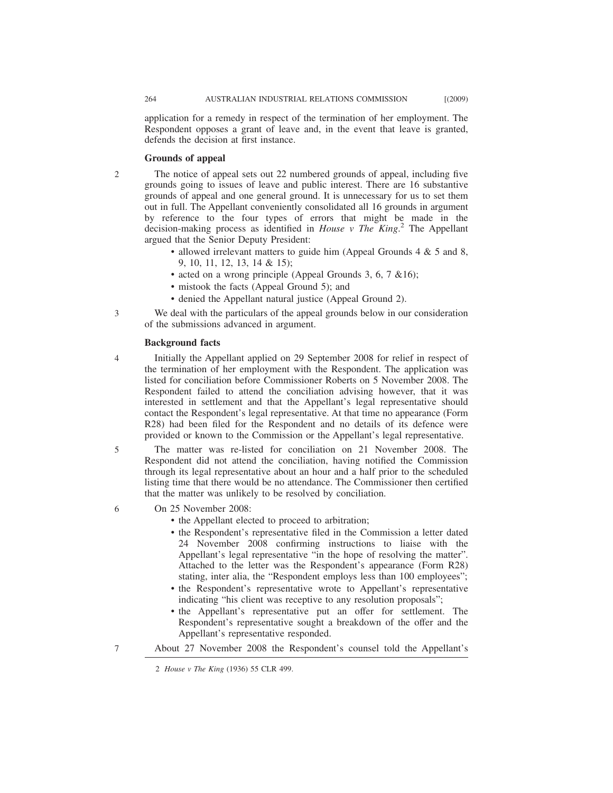application for a remedy in respect of the termination of her employment. The Respondent opposes a grant of leave and, in the event that leave is granted, defends the decision at first instance.

### **Grounds of appeal**

2

3

5

The notice of appeal sets out 22 numbered grounds of appeal, including five grounds going to issues of leave and public interest. There are 16 substantive grounds of appeal and one general ground. It is unnecessary for us to set them out in full. The Appellant conveniently consolidated all 16 grounds in argument by reference to the four types of errors that might be made in the decision-making process as identified in *House v The King*. <sup>2</sup> The Appellant argued that the Senior Deputy President:

- allowed irrelevant matters to guide him (Appeal Grounds 4 & 5 and 8, 9, 10, 11, 12, 13, 14 & 15);
- acted on a wrong principle (Appeal Grounds 3, 6, 7 &16);
- mistook the facts (Appeal Ground 5); and
- denied the Appellant natural justice (Appeal Ground 2).

We deal with the particulars of the appeal grounds below in our consideration of the submissions advanced in argument.

#### **Background facts**

Initially the Appellant applied on 29 September 2008 for relief in respect of the termination of her employment with the Respondent. The application was listed for conciliation before Commissioner Roberts on 5 November 2008. The Respondent failed to attend the conciliation advising however, that it was interested in settlement and that the Appellant's legal representative should contact the Respondent's legal representative. At that time no appearance (Form R28) had been filed for the Respondent and no details of its defence were provided or known to the Commission or the Appellant's legal representative. 4

The matter was re-listed for conciliation on 21 November 2008. The Respondent did not attend the conciliation, having notified the Commission through its legal representative about an hour and a half prior to the scheduled listing time that there would be no attendance. The Commissioner then certified that the matter was unlikely to be resolved by conciliation.

- On 25 November 2008: 6
	- the Appellant elected to proceed to arbitration;
	- the Respondent's representative filed in the Commission a letter dated 24 November 2008 confirming instructions to liaise with the Appellant's legal representative "in the hope of resolving the matter". Attached to the letter was the Respondent's appearance (Form R28) stating, inter alia, the "Respondent employs less than 100 employees";
	- the Respondent's representative wrote to Appellant's representative indicating "his client was receptive to any resolution proposals";
	- the Appellant's representative put an offer for settlement. The Respondent's representative sought a breakdown of the offer and the Appellant's representative responded.
- About 27 November 2008 the Respondent's counsel told the Appellant's 7

<sup>2</sup> *House v The King* (1936) 55 CLR 499.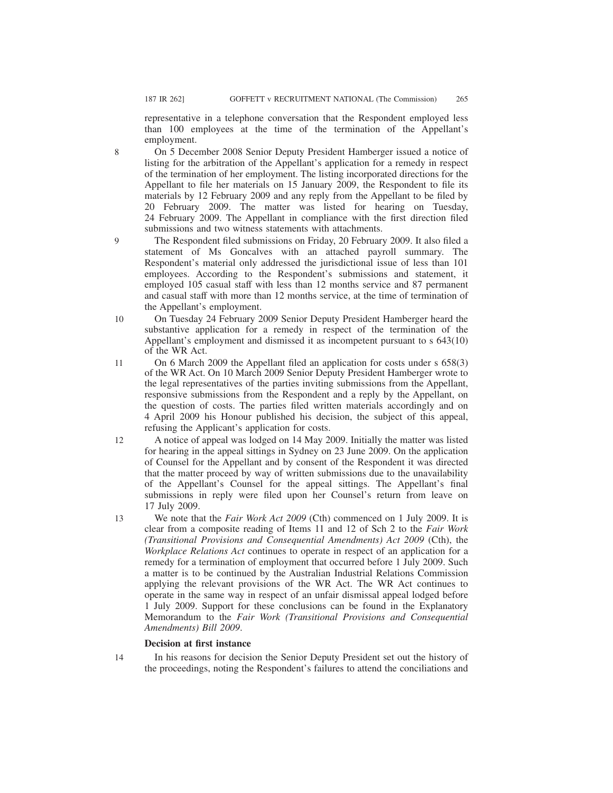9

representative in a telephone conversation that the Respondent employed less than 100 employees at the time of the termination of the Appellant's employment.

On 5 December 2008 Senior Deputy President Hamberger issued a notice of listing for the arbitration of the Appellant's application for a remedy in respect of the termination of her employment. The listing incorporated directions for the Appellant to file her materials on 15 January 2009, the Respondent to file its materials by 12 February 2009 and any reply from the Appellant to be filed by 20 February 2009. The matter was listed for hearing on Tuesday, 24 February 2009. The Appellant in compliance with the first direction filed submissions and two witness statements with attachments.

The Respondent filed submissions on Friday, 20 February 2009. It also filed a statement of Ms Goncalves with an attached payroll summary. The Respondent's material only addressed the jurisdictional issue of less than 101 employees. According to the Respondent's submissions and statement, it employed 105 casual staff with less than 12 months service and 87 permanent and casual staff with more than 12 months service, at the time of termination of the Appellant's employment.

- On Tuesday 24 February 2009 Senior Deputy President Hamberger heard the substantive application for a remedy in respect of the termination of the Appellant's employment and dismissed it as incompetent pursuant to s 643(10) of the WR Act. 10
- On 6 March 2009 the Appellant filed an application for costs under s 658(3) of the WR Act. On 10 March 2009 Senior Deputy President Hamberger wrote to the legal representatives of the parties inviting submissions from the Appellant, responsive submissions from the Respondent and a reply by the Appellant, on the question of costs. The parties filed written materials accordingly and on 4 April 2009 his Honour published his decision, the subject of this appeal, refusing the Applicant's application for costs. 11
- A notice of appeal was lodged on 14 May 2009. Initially the matter was listed for hearing in the appeal sittings in Sydney on 23 June 2009. On the application of Counsel for the Appellant and by consent of the Respondent it was directed that the matter proceed by way of written submissions due to the unavailability of the Appellant's Counsel for the appeal sittings. The Appellant's final submissions in reply were filed upon her Counsel's return from leave on 17 July 2009. 12
- We note that the *Fair Work Act 2009* (Cth) commenced on 1 July 2009. It is clear from a composite reading of Items 11 and 12 of Sch 2 to the *Fair Work (Transitional Provisions and Consequential Amendments) Act 2009* (Cth), the *Workplace Relations Act* continues to operate in respect of an application for a remedy for a termination of employment that occurred before 1 July 2009. Such a matter is to be continued by the Australian Industrial Relations Commission applying the relevant provisions of the WR Act. The WR Act continues to operate in the same way in respect of an unfair dismissal appeal lodged before 1 July 2009. Support for these conclusions can be found in the Explanatory Memorandum to the *Fair Work (Transitional Provisions and Consequential Amendments) Bill 2009*. 13

## **Decision at first instance**

In his reasons for decision the Senior Deputy President set out the history of the proceedings, noting the Respondent's failures to attend the conciliations and 14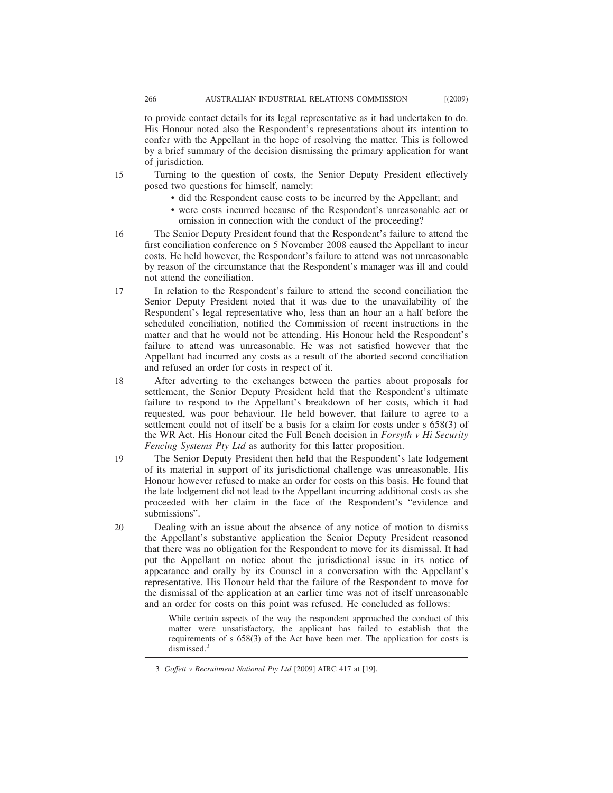to provide contact details for its legal representative as it had undertaken to do. His Honour noted also the Respondent's representations about its intention to confer with the Appellant in the hope of resolving the matter. This is followed by a brief summary of the decision dismissing the primary application for want of jurisdiction.

- Turning to the question of costs, the Senior Deputy President effectively posed two questions for himself, namely:
	- did the Respondent cause costs to be incurred by the Appellant; and
	- were costs incurred because of the Respondent's unreasonable act or omission in connection with the conduct of the proceeding?
- The Senior Deputy President found that the Respondent's failure to attend the first conciliation conference on 5 November 2008 caused the Appellant to incur costs. He held however, the Respondent's failure to attend was not unreasonable by reason of the circumstance that the Respondent's manager was ill and could not attend the conciliation. 16
- In relation to the Respondent's failure to attend the second conciliation the Senior Deputy President noted that it was due to the unavailability of the Respondent's legal representative who, less than an hour an a half before the scheduled conciliation, notified the Commission of recent instructions in the matter and that he would not be attending. His Honour held the Respondent's failure to attend was unreasonable. He was not satisfied however that the Appellant had incurred any costs as a result of the aborted second conciliation and refused an order for costs in respect of it. 17

After adverting to the exchanges between the parties about proposals for settlement, the Senior Deputy President held that the Respondent's ultimate failure to respond to the Appellant's breakdown of her costs, which it had requested, was poor behaviour. He held however, that failure to agree to a settlement could not of itself be a basis for a claim for costs under s 658(3) of the WR Act. His Honour cited the Full Bench decision in *Forsyth v Hi Security Fencing Systems Pty Ltd* as authority for this latter proposition. 18

- The Senior Deputy President then held that the Respondent's late lodgement of its material in support of its jurisdictional challenge was unreasonable. His Honour however refused to make an order for costs on this basis. He found that the late lodgement did not lead to the Appellant incurring additional costs as she proceeded with her claim in the face of the Respondent's "evidence and submissions". 19
- Dealing with an issue about the absence of any notice of motion to dismiss the Appellant's substantive application the Senior Deputy President reasoned that there was no obligation for the Respondent to move for its dismissal. It had put the Appellant on notice about the jurisdictional issue in its notice of appearance and orally by its Counsel in a conversation with the Appellant's representative. His Honour held that the failure of the Respondent to move for the dismissal of the application at an earlier time was not of itself unreasonable and an order for costs on this point was refused. He concluded as follows: 20

While certain aspects of the way the respondent approached the conduct of this matter were unsatisfactory, the applicant has failed to establish that the requirements of s 658(3) of the Act have been met. The application for costs is dismissed.<sup>3</sup>

<sup>3</sup> *Goffett v Recruitment National Pty Ltd* [2009] AIRC 417 at [19].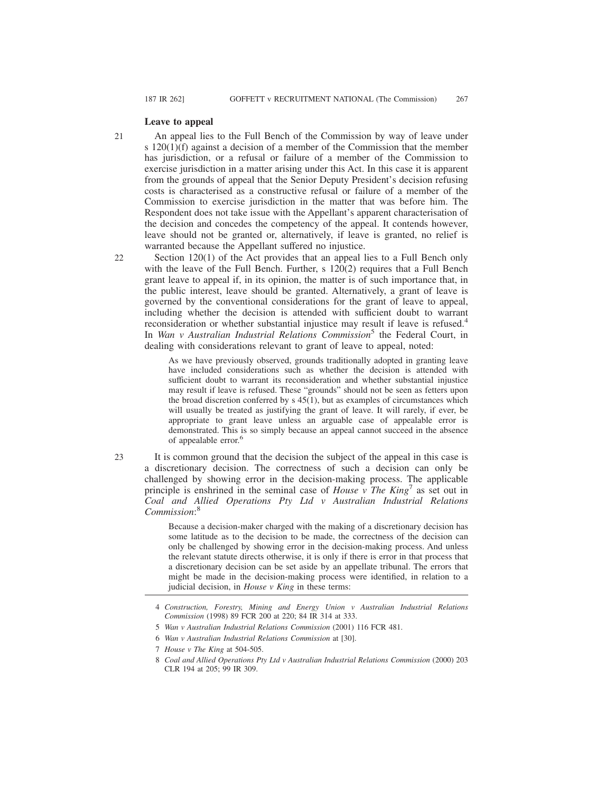### **Leave to appeal**

An appeal lies to the Full Bench of the Commission by way of leave under s 120(1)(f) against a decision of a member of the Commission that the member has jurisdiction, or a refusal or failure of a member of the Commission to exercise jurisdiction in a matter arising under this Act. In this case it is apparent from the grounds of appeal that the Senior Deputy President's decision refusing costs is characterised as a constructive refusal or failure of a member of the Commission to exercise jurisdiction in the matter that was before him. The Respondent does not take issue with the Appellant's apparent characterisation of the decision and concedes the competency of the appeal. It contends however, leave should not be granted or, alternatively, if leave is granted, no relief is warranted because the Appellant suffered no injustice. 21

Section 120(1) of the Act provides that an appeal lies to a Full Bench only with the leave of the Full Bench. Further, s 120(2) requires that a Full Bench grant leave to appeal if, in its opinion, the matter is of such importance that, in the public interest, leave should be granted. Alternatively, a grant of leave is governed by the conventional considerations for the grant of leave to appeal, including whether the decision is attended with sufficient doubt to warrant reconsideration or whether substantial injustice may result if leave is refused.<sup>4</sup> In *Wan v Australian Industrial Relations Commission*<sup>5</sup> the Federal Court, in dealing with considerations relevant to grant of leave to appeal, noted:

As we have previously observed, grounds traditionally adopted in granting leave have included considerations such as whether the decision is attended with sufficient doubt to warrant its reconsideration and whether substantial injustice may result if leave is refused. These "grounds" should not be seen as fetters upon the broad discretion conferred by s 45(1), but as examples of circumstances which will usually be treated as justifying the grant of leave. It will rarely, if ever, be appropriate to grant leave unless an arguable case of appealable error is demonstrated. This is so simply because an appeal cannot succeed in the absence of appealable error.<sup>6</sup>

It is common ground that the decision the subject of the appeal in this case is a discretionary decision. The correctness of such a decision can only be challenged by showing error in the decision-making process. The applicable principle is enshrined in the seminal case of *House v The King*<sup>7</sup> as set out in *Coal and Allied Operations Pty Ltd v Australian Industrial Relations Commission*: 8 23

> Because a decision-maker charged with the making of a discretionary decision has some latitude as to the decision to be made, the correctness of the decision can only be challenged by showing error in the decision-making process. And unless the relevant statute directs otherwise, it is only if there is error in that process that a discretionary decision can be set aside by an appellate tribunal. The errors that might be made in the decision-making process were identified, in relation to a judicial decision, in *House v King* in these terms:

<sup>4</sup> *Construction, Forestry, Mining and Energy Union v Australian Industrial Relations Commission* (1998) 89 FCR 200 at 220; 84 IR 314 at 333.

<sup>5</sup> *Wan v Australian Industrial Relations Commission* (2001) 116 FCR 481.

<sup>6</sup> *Wan v Australian Industrial Relations Commission* at [30].

<sup>7</sup> *House v The King* at 504-505.

<sup>8</sup> *Coal and Allied Operations Pty Ltd v Australian Industrial Relations Commission* (2000) 203 CLR 194 at 205; 99 IR 309.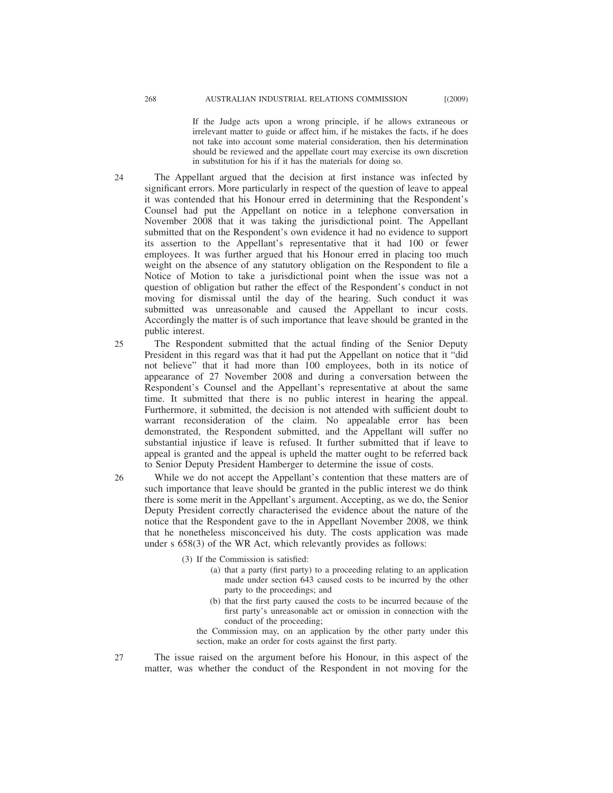If the Judge acts upon a wrong principle, if he allows extraneous or irrelevant matter to guide or affect him, if he mistakes the facts, if he does not take into account some material consideration, then his determination should be reviewed and the appellate court may exercise its own discretion in substitution for his if it has the materials for doing so.

The Appellant argued that the decision at first instance was infected by significant errors. More particularly in respect of the question of leave to appeal it was contended that his Honour erred in determining that the Respondent's Counsel had put the Appellant on notice in a telephone conversation in November 2008 that it was taking the jurisdictional point. The Appellant submitted that on the Respondent's own evidence it had no evidence to support its assertion to the Appellant's representative that it had 100 or fewer employees. It was further argued that his Honour erred in placing too much weight on the absence of any statutory obligation on the Respondent to file a Notice of Motion to take a jurisdictional point when the issue was not a question of obligation but rather the effect of the Respondent's conduct in not moving for dismissal until the day of the hearing. Such conduct it was submitted was unreasonable and caused the Appellant to incur costs. Accordingly the matter is of such importance that leave should be granted in the public interest.

The Respondent submitted that the actual finding of the Senior Deputy President in this regard was that it had put the Appellant on notice that it "did not believe" that it had more than 100 employees, both in its notice of appearance of 27 November 2008 and during a conversation between the Respondent's Counsel and the Appellant's representative at about the same time. It submitted that there is no public interest in hearing the appeal. Furthermore, it submitted, the decision is not attended with sufficient doubt to warrant reconsideration of the claim. No appealable error has been demonstrated, the Respondent submitted, and the Appellant will suffer no substantial injustice if leave is refused. It further submitted that if leave to appeal is granted and the appeal is upheld the matter ought to be referred back to Senior Deputy President Hamberger to determine the issue of costs. 25

While we do not accept the Appellant's contention that these matters are of such importance that leave should be granted in the public interest we do think there is some merit in the Appellant's argument. Accepting, as we do, the Senior Deputy President correctly characterised the evidence about the nature of the notice that the Respondent gave to the in Appellant November 2008, we think that he nonetheless misconceived his duty. The costs application was made under s 658(3) of the WR Act, which relevantly provides as follows:

- (3) If the Commission is satisfied:
	- (a) that a party (first party) to a proceeding relating to an application made under section 643 caused costs to be incurred by the other party to the proceedings; and
	- (b) that the first party caused the costs to be incurred because of the first party's unreasonable act or omission in connection with the conduct of the proceeding;

the Commission may, on an application by the other party under this section, make an order for costs against the first party.

The issue raised on the argument before his Honour, in this aspect of the matter, was whether the conduct of the Respondent in not moving for the 27

24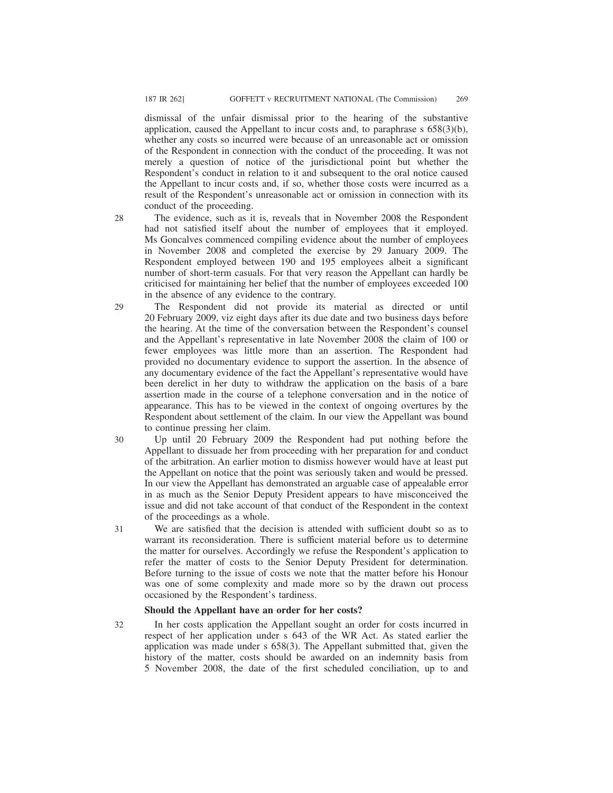dismissal of the unfair dismissal prior to the hearing of the substantive application, caused the Appellant to incur costs and, to paraphrase  $s$  658(3)(b), whether any costs so incurred were because of an unreasonable act or omission of the Respondent in connection with the conduct of the proceeding. It was not merely a question of notice of the jurisdictional point but whether the Respondent's conduct in relation to it and subsequent to the oral notice caused the Appellant to incur costs and, if so, whether those costs were incurred as a result of the Respondent's unreasonable act or omission in connection with its conduct of the proceeding.

28

32

The evidence, such as it is, reveals that in November 2008 the Respondent had not satisfied itself about the number of employees that it employed. Ms Goncalves commenced compiling evidence about the number of employees in November 2008 and completed the exercise by 29 January 2009. The Respondent employed between 190 and 195 employees albeit a significant number of short-term casuals. For that very reason the Appellant can hardly be criticised for maintaining her belief that the number of employees exceeded 100 in the absence of any evidence to the contrary.

- The Respondent did not provide its material as directed or until 20 February 2009, viz eight days after its due date and two business days before the hearing. At the time of the conversation between the Respondent's counsel and the Appellant's representative in late November 2008 the claim of 100 or fewer employees was little more than an assertion. The Respondent had provided no documentary evidence to support the assertion. In the absence of any documentary evidence of the fact the Appellant's representative would have been derelict in her duty to withdraw the application on the basis of a bare assertion made in the course of a telephone conversation and in the notice of appearance. This has to be viewed in the context of ongoing overtures by the Respondent about settlement of the claim. In our view the Appellant was bound to continue pressing her claim.  $29$
- Up until 20 February 2009 the Respondent had put nothing before the Appellant to dissuade her from proceeding with her preparation for and conduct of the arbitration. An earlier motion to dismiss however would have at least put the Appellant on notice that the point was seriously taken and would be pressed. In our view the Appellant has demonstrated an arguable case of appealable error in as much as the Senior Deputy President appears to have misconceived the issue and did not take account of that conduct of the Respondent in the context of the proceedings as a whole. 30
- We are satisfied that the decision is attended with sufficient doubt so as to warrant its reconsideration. There is sufficient material before us to determine the matter for ourselves. Accordingly we refuse the Respondent's application to refer the matter of costs to the Senior Deputy President for determination. Before turning to the issue of costs we note that the matter before his Honour was one of some complexity and made more so by the drawn out process occasioned by the Respondent's tardiness. 31

### **Should the Appellant have an order for her costs?**

In her costs application the Appellant sought an order for costs incurred in respect of her application under s 643 of the WR Act. As stated earlier the application was made under s 658(3). The Appellant submitted that, given the history of the matter, costs should be awarded on an indemnity basis from 5 November 2008, the date of the first scheduled conciliation, up to and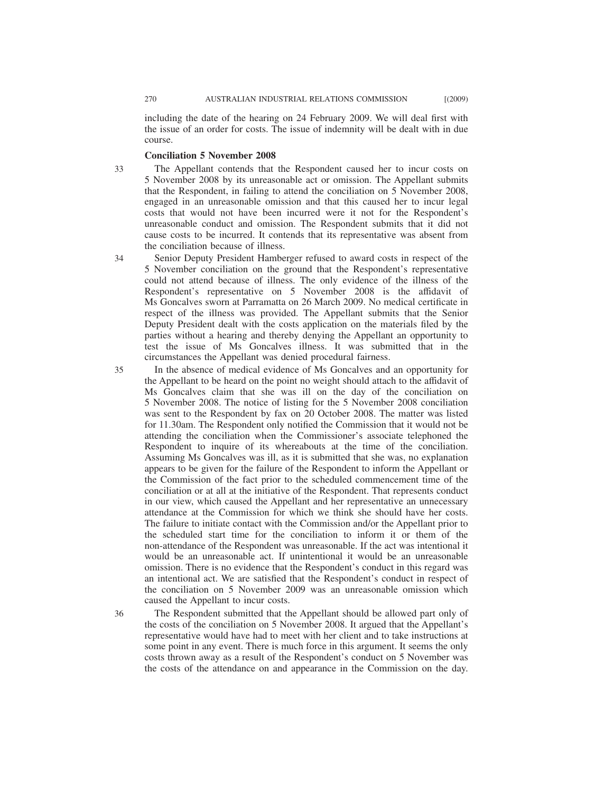including the date of the hearing on 24 February 2009. We will deal first with the issue of an order for costs. The issue of indemnity will be dealt with in due course.

#### **Conciliation 5 November 2008**

The Appellant contends that the Respondent caused her to incur costs on 5 November 2008 by its unreasonable act or omission. The Appellant submits that the Respondent, in failing to attend the conciliation on 5 November 2008, engaged in an unreasonable omission and that this caused her to incur legal costs that would not have been incurred were it not for the Respondent's unreasonable conduct and omission. The Respondent submits that it did not cause costs to be incurred. It contends that its representative was absent from the conciliation because of illness. 33

- Senior Deputy President Hamberger refused to award costs in respect of the 5 November conciliation on the ground that the Respondent's representative could not attend because of illness. The only evidence of the illness of the Respondent's representative on 5 November 2008 is the affidavit of Ms Goncalves sworn at Parramatta on 26 March 2009. No medical certificate in respect of the illness was provided. The Appellant submits that the Senior Deputy President dealt with the costs application on the materials filed by the parties without a hearing and thereby denying the Appellant an opportunity to test the issue of Ms Goncalves illness. It was submitted that in the circumstances the Appellant was denied procedural fairness.
- In the absence of medical evidence of Ms Goncalves and an opportunity for the Appellant to be heard on the point no weight should attach to the affidavit of Ms Goncalves claim that she was ill on the day of the conciliation on 5 November 2008. The notice of listing for the 5 November 2008 conciliation was sent to the Respondent by fax on 20 October 2008. The matter was listed for 11.30am. The Respondent only notified the Commission that it would not be attending the conciliation when the Commissioner's associate telephoned the Respondent to inquire of its whereabouts at the time of the conciliation. Assuming Ms Goncalves was ill, as it is submitted that she was, no explanation appears to be given for the failure of the Respondent to inform the Appellant or the Commission of the fact prior to the scheduled commencement time of the conciliation or at all at the initiative of the Respondent. That represents conduct in our view, which caused the Appellant and her representative an unnecessary attendance at the Commission for which we think she should have her costs. The failure to initiate contact with the Commission and/or the Appellant prior to the scheduled start time for the conciliation to inform it or them of the non-attendance of the Respondent was unreasonable. If the act was intentional it would be an unreasonable act. If unintentional it would be an unreasonable omission. There is no evidence that the Respondent's conduct in this regard was an intentional act. We are satisfied that the Respondent's conduct in respect of the conciliation on 5 November 2009 was an unreasonable omission which caused the Appellant to incur costs.
- 36

The Respondent submitted that the Appellant should be allowed part only of the costs of the conciliation on 5 November 2008. It argued that the Appellant's representative would have had to meet with her client and to take instructions at some point in any event. There is much force in this argument. It seems the only costs thrown away as a result of the Respondent's conduct on 5 November was the costs of the attendance on and appearance in the Commission on the day.

34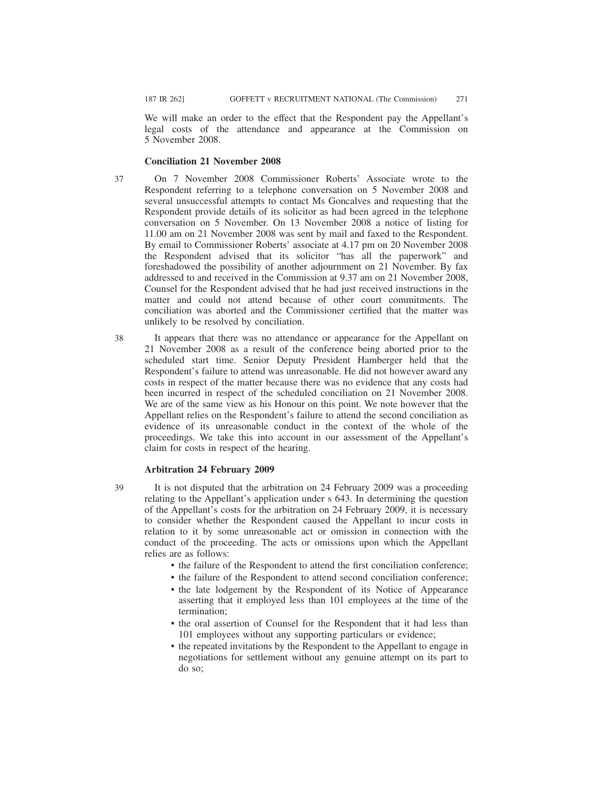We will make an order to the effect that the Respondent pay the Appellant's legal costs of the attendance and appearance at the Commission on 5 November 2008.

#### **Conciliation 21 November 2008**

- On 7 November 2008 Commissioner Roberts' Associate wrote to the Respondent referring to a telephone conversation on 5 November 2008 and several unsuccessful attempts to contact Ms Goncalves and requesting that the Respondent provide details of its solicitor as had been agreed in the telephone conversation on 5 November. On 13 November 2008 a notice of listing for 11.00 am on 21 November 2008 was sent by mail and faxed to the Respondent. By email to Commissioner Roberts' associate at 4.17 pm on 20 November 2008 the Respondent advised that its solicitor "has all the paperwork" and foreshadowed the possibility of another adjournment on 21 November. By fax addressed to and received in the Commission at 9.37 am on 21 November 2008, Counsel for the Respondent advised that he had just received instructions in the matter and could not attend because of other court commitments. The conciliation was aborted and the Commissioner certified that the matter was unlikely to be resolved by conciliation. 37
- It appears that there was no attendance or appearance for the Appellant on 21 November 2008 as a result of the conference being aborted prior to the scheduled start time. Senior Deputy President Hamberger held that the Respondent's failure to attend was unreasonable. He did not however award any costs in respect of the matter because there was no evidence that any costs had been incurred in respect of the scheduled conciliation on 21 November 2008. We are of the same view as his Honour on this point. We note however that the Appellant relies on the Respondent's failure to attend the second conciliation as evidence of its unreasonable conduct in the context of the whole of the proceedings. We take this into account in our assessment of the Appellant's claim for costs in respect of the hearing. 38

#### **Arbitration 24 February 2009**

- It is not disputed that the arbitration on 24 February 2009 was a proceeding relating to the Appellant's application under s 643. In determining the question of the Appellant's costs for the arbitration on 24 February 2009, it is necessary to consider whether the Respondent caused the Appellant to incur costs in relation to it by some unreasonable act or omission in connection with the conduct of the proceeding. The acts or omissions upon which the Appellant relies are as follows:
	- the failure of the Respondent to attend the first conciliation conference;
	- the failure of the Respondent to attend second conciliation conference;
	- the late lodgement by the Respondent of its Notice of Appearance asserting that it employed less than 101 employees at the time of the termination;
	- the oral assertion of Counsel for the Respondent that it had less than 101 employees without any supporting particulars or evidence;
	- the repeated invitations by the Respondent to the Appellant to engage in negotiations for settlement without any genuine attempt on its part to do so;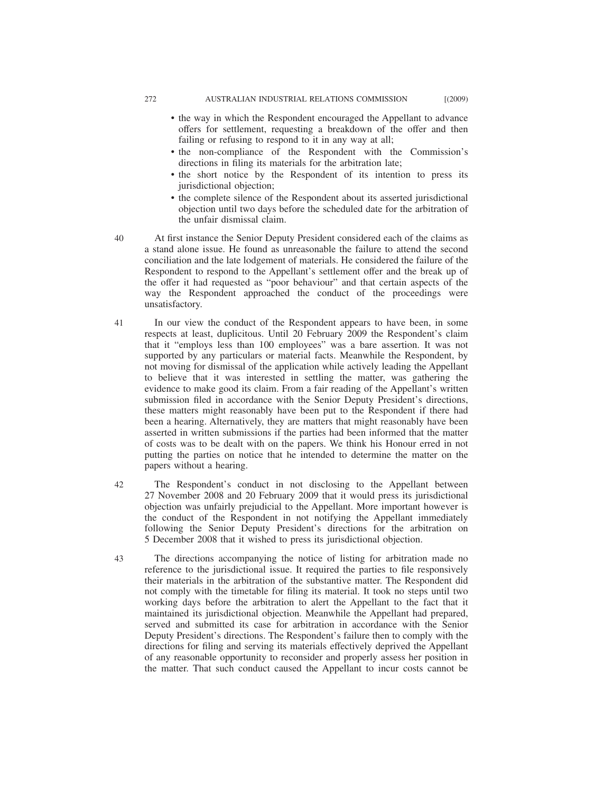- the way in which the Respondent encouraged the Appellant to advance offers for settlement, requesting a breakdown of the offer and then failing or refusing to respond to it in any way at all;
- the non-compliance of the Respondent with the Commission's directions in filing its materials for the arbitration late;
- the short notice by the Respondent of its intention to press its jurisdictional objection;
- the complete silence of the Respondent about its asserted jurisdictional objection until two days before the scheduled date for the arbitration of the unfair dismissal claim.
- At first instance the Senior Deputy President considered each of the claims as a stand alone issue. He found as unreasonable the failure to attend the second conciliation and the late lodgement of materials. He considered the failure of the Respondent to respond to the Appellant's settlement offer and the break up of the offer it had requested as "poor behaviour" and that certain aspects of the way the Respondent approached the conduct of the proceedings were unsatisfactory.
- In our view the conduct of the Respondent appears to have been, in some respects at least, duplicitous. Until 20 February 2009 the Respondent's claim that it "employs less than 100 employees" was a bare assertion. It was not supported by any particulars or material facts. Meanwhile the Respondent, by not moving for dismissal of the application while actively leading the Appellant to believe that it was interested in settling the matter, was gathering the evidence to make good its claim. From a fair reading of the Appellant's written submission filed in accordance with the Senior Deputy President's directions, these matters might reasonably have been put to the Respondent if there had been a hearing. Alternatively, they are matters that might reasonably have been asserted in written submissions if the parties had been informed that the matter of costs was to be dealt with on the papers. We think his Honour erred in not putting the parties on notice that he intended to determine the matter on the papers without a hearing. 41
- The Respondent's conduct in not disclosing to the Appellant between 27 November 2008 and 20 February 2009 that it would press its jurisdictional objection was unfairly prejudicial to the Appellant. More important however is the conduct of the Respondent in not notifying the Appellant immediately following the Senior Deputy President's directions for the arbitration on 5 December 2008 that it wished to press its jurisdictional objection. 42
- The directions accompanying the notice of listing for arbitration made no reference to the jurisdictional issue. It required the parties to file responsively their materials in the arbitration of the substantive matter. The Respondent did not comply with the timetable for filing its material. It took no steps until two working days before the arbitration to alert the Appellant to the fact that it maintained its jurisdictional objection. Meanwhile the Appellant had prepared, served and submitted its case for arbitration in accordance with the Senior Deputy President's directions. The Respondent's failure then to comply with the directions for filing and serving its materials effectively deprived the Appellant of any reasonable opportunity to reconsider and properly assess her position in the matter. That such conduct caused the Appellant to incur costs cannot be 43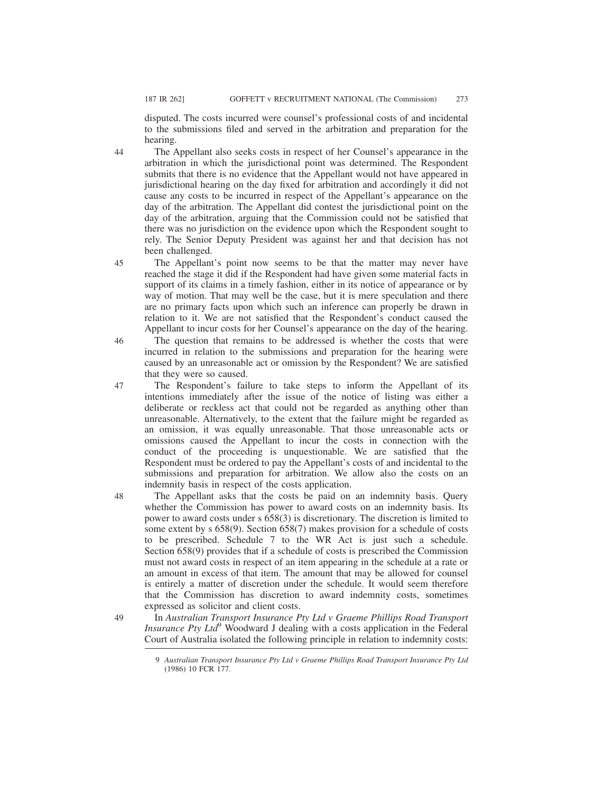49

disputed. The costs incurred were counsel's professional costs of and incidental to the submissions filed and served in the arbitration and preparation for the hearing.

The Appellant also seeks costs in respect of her Counsel's appearance in the arbitration in which the jurisdictional point was determined. The Respondent submits that there is no evidence that the Appellant would not have appeared in jurisdictional hearing on the day fixed for arbitration and accordingly it did not cause any costs to be incurred in respect of the Appellant's appearance on the day of the arbitration. The Appellant did contest the jurisdictional point on the day of the arbitration, arguing that the Commission could not be satisfied that there was no jurisdiction on the evidence upon which the Respondent sought to rely. The Senior Deputy President was against her and that decision has not been challenged.

The Appellant's point now seems to be that the matter may never have reached the stage it did if the Respondent had have given some material facts in support of its claims in a timely fashion, either in its notice of appearance or by way of motion. That may well be the case, but it is mere speculation and there are no primary facts upon which such an inference can properly be drawn in relation to it. We are not satisfied that the Respondent's conduct caused the Appellant to incur costs for her Counsel's appearance on the day of the hearing. 45

The question that remains to be addressed is whether the costs that were incurred in relation to the submissions and preparation for the hearing were caused by an unreasonable act or omission by the Respondent? We are satisfied that they were so caused. 46

The Respondent's failure to take steps to inform the Appellant of its intentions immediately after the issue of the notice of listing was either a deliberate or reckless act that could not be regarded as anything other than unreasonable. Alternatively, to the extent that the failure might be regarded as an omission, it was equally unreasonable. That those unreasonable acts or omissions caused the Appellant to incur the costs in connection with the conduct of the proceeding is unquestionable. We are satisfied that the Respondent must be ordered to pay the Appellant's costs of and incidental to the submissions and preparation for arbitration. We allow also the costs on an indemnity basis in respect of the costs application. 47

The Appellant asks that the costs be paid on an indemnity basis. Query whether the Commission has power to award costs on an indemnity basis. Its power to award costs under s 658(3) is discretionary. The discretion is limited to some extent by s 658(9). Section 658(7) makes provision for a schedule of costs to be prescribed. Schedule 7 to the WR Act is just such a schedule. Section 658(9) provides that if a schedule of costs is prescribed the Commission must not award costs in respect of an item appearing in the schedule at a rate or an amount in excess of that item. The amount that may be allowed for counsel is entirely a matter of discretion under the schedule. It would seem therefore that the Commission has discretion to award indemnity costs, sometimes expressed as solicitor and client costs. 48

In *Australian Transport Insurance Pty Ltd v Graeme Phillips Road Transport Insurance Pty Ltd*<sup>9</sup> Woodward J dealing with a costs application in the Federal Court of Australia isolated the following principle in relation to indemnity costs:

<sup>9</sup> *Australian Transport Insurance Pty Ltd v Graeme Phillips Road Transport Insurance Pty Ltd* (1986) 10 FCR 177.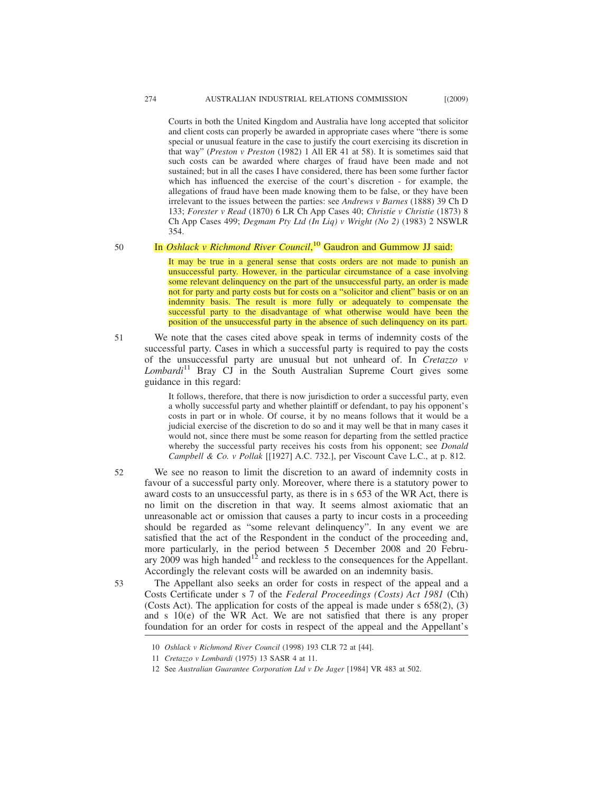Courts in both the United Kingdom and Australia have long accepted that solicitor and client costs can properly be awarded in appropriate cases where "there is some special or unusual feature in the case to justify the court exercising its discretion in that way" (*Preston v Preston* (1982) 1 All ER 41 at 58). It is sometimes said that such costs can be awarded where charges of fraud have been made and not sustained; but in all the cases I have considered, there has been some further factor which has influenced the exercise of the court's discretion - for example, the allegations of fraud have been made knowing them to be false, or they have been irrelevant to the issues between the parties: see *Andrews v Barnes* (1888) 39 Ch D 133; *Forester v Read* (1870) 6 LR Ch App Cases 40; *Christie v Christie* (1873) 8 Ch App Cases 499; *Degmam Pty Ltd (In Liq) v Wright (No 2)* (1983) 2 NSWLR 354.

50

51

# In *Oshlack v Richmond River Council*, <sup>10</sup> Gaudron and Gummow JJ said:

It may be true in a general sense that costs orders are not made to punish an unsuccessful party. However, in the particular circumstance of a case involving some relevant delinquency on the part of the unsuccessful party, an order is made not for party and party costs but for costs on a "solicitor and client" basis or on an indemnity basis. The result is more fully or adequately to compensate the successful party to the disadvantage of what otherwise would have been the position of the unsuccessful party in the absence of such delinquency on its part.

We note that the cases cited above speak in terms of indemnity costs of the successful party. Cases in which a successful party is required to pay the costs of the unsuccessful party are unusual but not unheard of. In *Cretazzo v Lombardi*<sup>11</sup> Bray CJ in the South Australian Supreme Court gives some guidance in this regard:

> It follows, therefore, that there is now jurisdiction to order a successful party, even a wholly successful party and whether plaintiff or defendant, to pay his opponent's costs in part or in whole. Of course, it by no means follows that it would be a judicial exercise of the discretion to do so and it may well be that in many cases it would not, since there must be some reason for departing from the settled practice whereby the successful party receives his costs from his opponent; see *Donald Campbell & Co. v Pollak* [[1927] A.C. 732.], per Viscount Cave L.C., at p. 812.

We see no reason to limit the discretion to an award of indemnity costs in favour of a successful party only. Moreover, where there is a statutory power to award costs to an unsuccessful party, as there is in s 653 of the WR Act, there is no limit on the discretion in that way. It seems almost axiomatic that an unreasonable act or omission that causes a party to incur costs in a proceeding should be regarded as "some relevant delinquency". In any event we are satisfied that the act of the Respondent in the conduct of the proceeding and, more particularly, in the period between 5 December 2008 and 20 February 2009 was high handed<sup>12</sup> and reckless to the consequences for the Appellant. Accordingly the relevant costs will be awarded on an indemnity basis. 52

The Appellant also seeks an order for costs in respect of the appeal and a Costs Certificate under s 7 of the *Federal Proceedings (Costs) Act 1981* (Cth) (Costs Act). The application for costs of the appeal is made under  $s$  658(2), (3) and s 10(e) of the WR Act. We are not satisfied that there is any proper foundation for an order for costs in respect of the appeal and the Appellant's 53

<sup>10</sup> *Oshlack v Richmond River Council* (1998) 193 CLR 72 at [44].

<sup>11</sup> *Cretazzo v Lombardi* (1975) 13 SASR 4 at 11.

<sup>12</sup> See *Australian Guarantee Corporation Ltd v De Jager* [1984] VR 483 at 502.